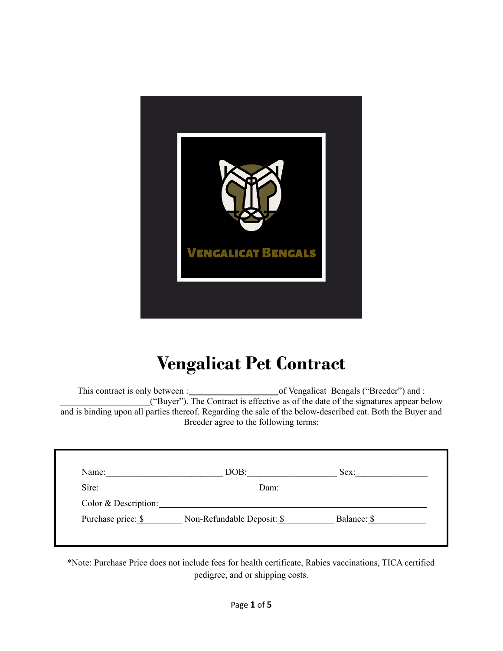

## **Vengalicat Pet Contract**

This contract is only between : of Vengalicat Bengals ("Breeder") and : \_\_\_\_\_\_\_\_\_\_\_\_\_\_\_\_\_\_\_\_("Buyer"). The Contract is effective as of the date of the signatures appear below and is binding upon all parties thereof. Regarding the sale of the below-described cat. Both the Buyer and Breeder agree to the following terms:

| Name:                | DOB:                       | Sex:        |
|----------------------|----------------------------|-------------|
| Sire:                | Dam:                       |             |
| Color & Description: |                            |             |
| Purchase price: \$   | Non-Refundable Deposit: \$ | Balance: \$ |

\*Note: Purchase Price does not include fees for health certificate, Rabies vaccinations, TICA certified pedigree, and or shipping costs.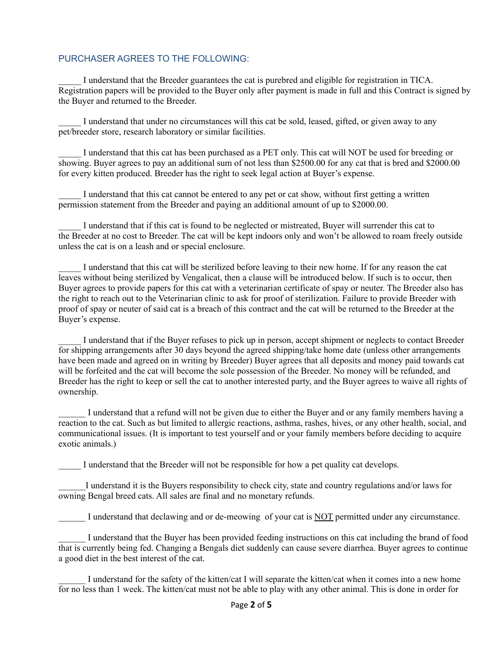## PURCHASER AGREES TO THE FOLLOWING:

\_\_\_\_\_ I understand that the Breeder guarantees the cat is purebred and eligible for registration in TICA. Registration papers will be provided to the Buyer only after payment is made in full and this Contract is signed by the Buyer and returned to the Breeder.

I understand that under no circumstances will this cat be sold, leased, gifted, or given away to any pet/breeder store, research laboratory or similar facilities.

\_\_\_\_\_ I understand that this cat has been purchased as a PET only. This cat will NOT be used for breeding or showing. Buyer agrees to pay an additional sum of not less than \$2500.00 for any cat that is bred and \$2000.00 for every kitten produced. Breeder has the right to seek legal action at Buyer's expense.

I understand that this cat cannot be entered to any pet or cat show, without first getting a written permission statement from the Breeder and paying an additional amount of up to \$2000.00.

\_\_\_\_\_ I understand that if this cat is found to be neglected or mistreated, Buyer will surrender this cat to the Breeder at no cost to Breeder. The cat will be kept indoors only and won't be allowed to roam freely outside unless the cat is on a leash and or special enclosure.

I understand that this cat will be sterilized before leaving to their new home. If for any reason the cat leaves without being sterilized by Vengalicat, then a clause will be introduced below. If such is to occur, then Buyer agrees to provide papers for this cat with a veterinarian certificate of spay or neuter. The Breeder also has the right to reach out to the Veterinarian clinic to ask for proof of sterilization. Failure to provide Breeder with proof of spay or neuter of said cat is a breach of this contract and the cat will be returned to the Breeder at the Buyer's expense.

\_\_\_\_\_ I understand that if the Buyer refuses to pick up in person, accept shipment or neglects to contact Breeder for shipping arrangements after 30 days beyond the agreed shipping/take home date (unless other arrangements have been made and agreed on in writing by Breeder) Buyer agrees that all deposits and money paid towards cat will be forfeited and the cat will become the sole possession of the Breeder. No money will be refunded, and Breeder has the right to keep or sell the cat to another interested party, and the Buyer agrees to waive all rights of ownership.

I understand that a refund will not be given due to either the Buyer and or any family members having a reaction to the cat. Such as but limited to allergic reactions, asthma, rashes, hives, or any other health, social, and communicational issues. (It is important to test yourself and or your family members before deciding to acquire exotic animals.)

I understand that the Breeder will not be responsible for how a pet quality cat develops.

\_\_\_\_\_\_I understand it is the Buyers responsibility to check city, state and country regulations and/or laws for owning Bengal breed cats. All sales are final and no monetary refunds.

I understand that declawing and or de-meowing of your cat is NOT permitted under any circumstance.

I understand that the Buyer has been provided feeding instructions on this cat including the brand of food that is currently being fed. Changing a Bengals diet suddenly can cause severe diarrhea. Buyer agrees to continue a good diet in the best interest of the cat.

I understand for the safety of the kitten/cat I will separate the kitten/cat when it comes into a new home for no less than 1 week. The kitten/cat must not be able to play with any other animal. This is done in order for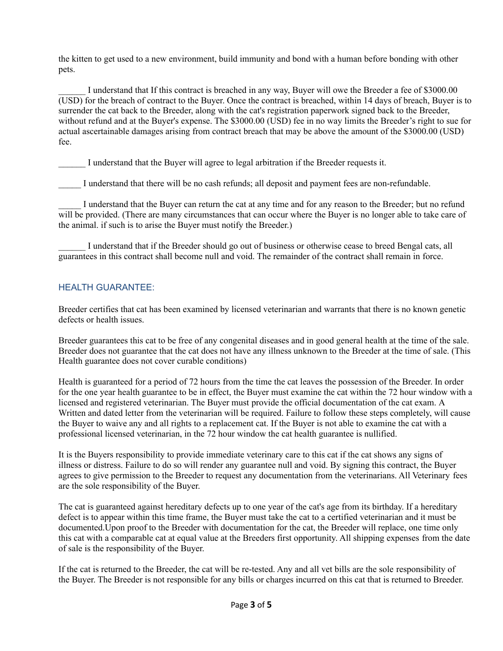the kitten to get used to a new environment, build immunity and bond with a human before bonding with other pets.

I understand that If this contract is breached in any way, Buyer will owe the Breeder a fee of \$3000.00 (USD) for the breach of contract to the Buyer. Once the contract is breached, within 14 days of breach, Buyer is to surrender the cat back to the Breeder, along with the cat's registration paperwork signed back to the Breeder, without refund and at the Buyer's expense. The \$3000.00 (USD) fee in no way limits the Breeder's right to sue for actual ascertainable damages arising from contract breach that may be above the amount of the \$3000.00 (USD) fee.

I understand that the Buyer will agree to legal arbitration if the Breeder requests it.

I understand that there will be no cash refunds; all deposit and payment fees are non-refundable.

I understand that the Buyer can return the cat at any time and for any reason to the Breeder; but no refund will be provided. (There are many circumstances that can occur where the Buyer is no longer able to take care of the animal. if such is to arise the Buyer must notify the Breeder.)

\_\_\_\_\_\_ I understand that if the Breeder should go out of business or otherwise cease to breed Bengal cats, all guarantees in this contract shall become null and void. The remainder of the contract shall remain in force.

## HEALTH GUARANTEE:

Breeder certifies that cat has been examined by licensed veterinarian and warrants that there is no known genetic defects or health issues.

Breeder guarantees this cat to be free of any congenital diseases and in good general health at the time of the sale. Breeder does not guarantee that the cat does not have any illness unknown to the Breeder at the time of sale. (This Health guarantee does not cover curable conditions)

Health is guaranteed for a period of 72 hours from the time the cat leaves the possession of the Breeder. In order for the one year health guarantee to be in effect, the Buyer must examine the cat within the 72 hour window with a licensed and registered veterinarian. The Buyer must provide the official documentation of the cat exam. A Written and dated letter from the veterinarian will be required. Failure to follow these steps completely, will cause the Buyer to waive any and all rights to a replacement cat. If the Buyer is not able to examine the cat with a professional licensed veterinarian, in the 72 hour window the cat health guarantee is nullified.

It is the Buyers responsibility to provide immediate veterinary care to this cat if the cat shows any signs of illness or distress. Failure to do so will render any guarantee null and void. By signing this contract, the Buyer agrees to give permission to the Breeder to request any documentation from the veterinarians. All Veterinary fees are the sole responsibility of the Buyer.

The cat is guaranteed against hereditary defects up to one year of the cat's age from its birthday. If a hereditary defect is to appear within this time frame, the Buyer must take the cat to a certified veterinarian and it must be documented.Upon proof to the Breeder with documentation for the cat, the Breeder will replace, one time only this cat with a comparable cat at equal value at the Breeders first opportunity. All shipping expenses from the date of sale is the responsibility of the Buyer.

If the cat is returned to the Breeder, the cat will be re-tested. Any and all vet bills are the sole responsibility of the Buyer. The Breeder is not responsible for any bills or charges incurred on this cat that is returned to Breeder.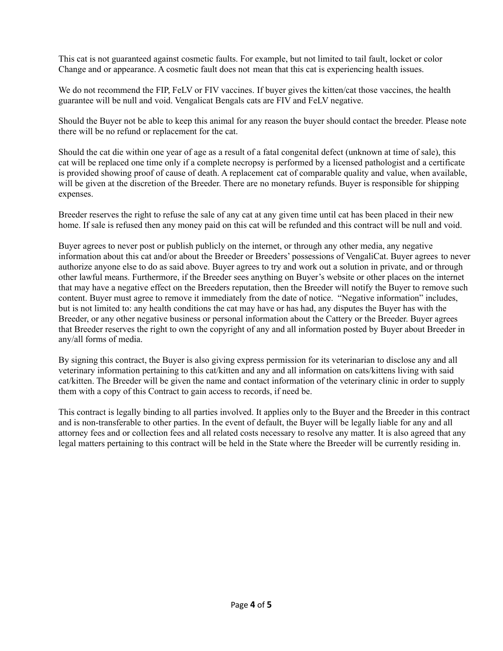This cat is not guaranteed against cosmetic faults. For example, but not limited to tail fault, locket or color Change and or appearance. A cosmetic fault does not mean that this cat is experiencing health issues.

We do not recommend the FIP, FeLV or FIV vaccines. If buyer gives the kitten/cat those vaccines, the health guarantee will be null and void. Vengalicat Bengals cats are FIV and FeLV negative.

Should the Buyer not be able to keep this animal for any reason the buyer should contact the breeder. Please note there will be no refund or replacement for the cat.

Should the cat die within one year of age as a result of a fatal congenital defect (unknown at time of sale), this cat will be replaced one time only if a complete necropsy is performed by a licensed pathologist and a certificate is provided showing proof of cause of death. A replacement cat of comparable quality and value, when available, will be given at the discretion of the Breeder. There are no monetary refunds. Buyer is responsible for shipping expenses.

Breeder reserves the right to refuse the sale of any cat at any given time until cat has been placed in their new home. If sale is refused then any money paid on this cat will be refunded and this contract will be null and void.

Buyer agrees to never post or publish publicly on the internet, or through any other media, any negative information about this cat and/or about the Breeder or Breeders' possessions of VengaliCat. Buyer agrees to never authorize anyone else to do as said above. Buyer agrees to try and work out a solution in private, and or through other lawful means. Furthermore, if the Breeder sees anything on Buyer's website or other places on the internet that may have a negative effect on the Breeders reputation, then the Breeder will notify the Buyer to remove such content. Buyer must agree to remove it immediately from the date of notice. "Negative information" includes, but is not limited to: any health conditions the cat may have or has had, any disputes the Buyer has with the Breeder, or any other negative business or personal information about the Cattery or the Breeder. Buyer agrees that Breeder reserves the right to own the copyright of any and all information posted by Buyer about Breeder in any/all forms of media.

By signing this contract, the Buyer is also giving express permission for its veterinarian to disclose any and all veterinary information pertaining to this cat/kitten and any and all information on cats/kittens living with said cat/kitten. The Breeder will be given the name and contact information of the veterinary clinic in order to supply them with a copy of this Contract to gain access to records, if need be.

This contract is legally binding to all parties involved. It applies only to the Buyer and the Breeder in this contract and is non-transferable to other parties. In the event of default, the Buyer will be legally liable for any and all attorney fees and or collection fees and all related costs necessary to resolve any matter. It is also agreed that any legal matters pertaining to this contract will be held in the State where the Breeder will be currently residing in.